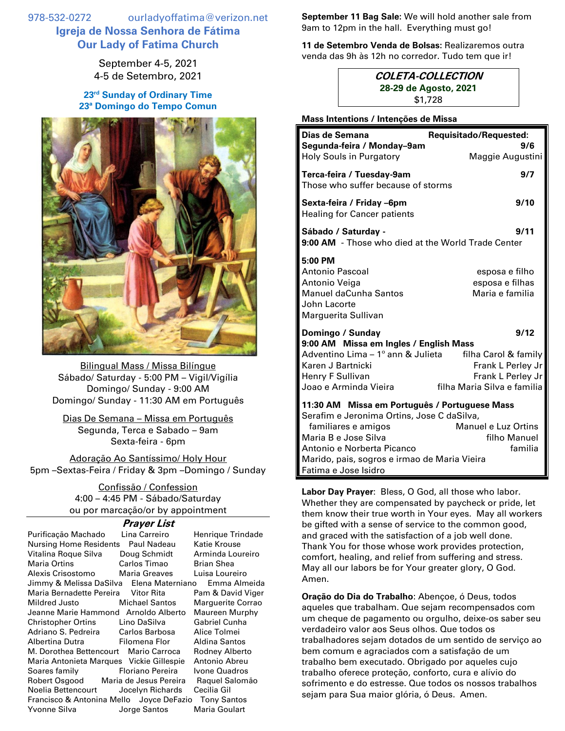978-532-0272 ourladyoffatima@verizon.net **Igreja de Nossa Senhora de Fátima Our Lady of Fatima Church**

> September 4-5, 2021 4-5 de Setembro, 2021

**23 rd Sunday of Ordinary Time 23ª Domingo do Tempo Comun**



Bilingual Mass / Missa Bilíngue Sábado/ Saturday - 5:00 PM – Vigil/Vigília Domingo/ Sunday - 9:00 AM Domingo/ Sunday - 11:30 AM em Português

Dias De Semana – Missa em Português Segunda, Terca e Sabado – 9am Sexta-feira - 6pm

Adoração Ao Santíssimo/ Holy Hour 5pm –Sextas-Feira / Friday & 3pm –Domingo / Sunday

> Confissão / Confession 4:00 – 4:45 PM - Sábado/Saturday ou por marcação/or by appointment

## **Prayer List**

| Purificação Machado                                            | Lina Carreiro         | Henrique Trindade |  |
|----------------------------------------------------------------|-----------------------|-------------------|--|
| Nursing Home Residents                                         | Paul Nadeau           | Katie Krouse      |  |
| Vitalina Roque Silva                                           | Doug Schmidt          | Arminda Loureiro  |  |
| Maria Ortins <b>Martia</b>                                     | Carlos Timao          | Brian Shea        |  |
| Alexis Crisostomo Maria Greaves                                |                       | Luisa Loureiro    |  |
| Jimmy & Melissa DaSilva Elena Materniano<br>Emma Almeida       |                       |                   |  |
| Maria Bernadette Pereira Vitor Rita                            |                       | Pam & David Viger |  |
| Mildred Justo                                                  | <b>Michael Santos</b> | Marguerite Corrao |  |
| Jeanne Marie Hammond Arnoldo Alberto                           |                       | Maureen Murphy    |  |
| Christopher Ortins Lino DaSilva                                |                       | Gabriel Cunha     |  |
| Adriano S. Pedreira Carlos Barbosa                             |                       | Alice Tolmei      |  |
| Albertina Dutra <b>Filomena Flor</b>                           |                       | Aldina Santos     |  |
| M. Dorothea Bettencourt Mario Carroca                          |                       | Rodney Alberto    |  |
| Maria Antonieta Marques Vickie Gillespie                       |                       | Antonio Abreu     |  |
| Soares family Floriano Pereira                                 |                       | Ivone Quadros     |  |
| Robert Osgood Maria de Jesus Pereira                           |                       | Raquel Salomão    |  |
| Noelia Bettencourt Jocelyn Richards                            |                       | Cecilia Gil       |  |
| Francisco & Antonina Mello Joyce DeFazio<br><b>Tony Santos</b> |                       |                   |  |
| Yvonne Silva <b>Santos</b> Jorge Santos                        |                       | Maria Goulart     |  |

**September 11 Bag Sale:** We will hold another sale from 9am to 12pm in the hall.Everything must go!

**11 de Setembro Venda de Bolsas:** Realizaremos outra venda das 9h às 12h no corredor. Tudo tem que ir!

## **COLETA-COLLECTION 28-29 de Agosto, 2021** \$1,728

**Mass Intentions / Intenções de Missa**

| Dias de Semana<br>Segunda-feira / Monday-9am                                                                                                                                                                                                                                                       | Requisitado/Requested:<br>9/6                                                                         |  |
|----------------------------------------------------------------------------------------------------------------------------------------------------------------------------------------------------------------------------------------------------------------------------------------------------|-------------------------------------------------------------------------------------------------------|--|
| Holy Souls in Purgatory                                                                                                                                                                                                                                                                            | Maggie Augustini                                                                                      |  |
| Terca-feira / Tuesday-9am<br>Those who suffer because of storms                                                                                                                                                                                                                                    | 9/7                                                                                                   |  |
| Sexta-feira / Friday –6pm<br><b>Healing for Cancer patients</b>                                                                                                                                                                                                                                    | 9/10                                                                                                  |  |
| Sábado / Saturday -<br>9:00 AM - Those who died at the World Trade Center                                                                                                                                                                                                                          | 9/11                                                                                                  |  |
| 5:00 PM<br>Antonio Pascoal<br>Antonio Veiga<br><b>Manuel daCunha Santos</b><br>John Lacorte<br>Marguerita Sullivan                                                                                                                                                                                 | esposa e filho<br>esposa e filhas<br>Maria e familia                                                  |  |
| Domingo / Sunday<br>9:00 AM Missa em Ingles / English Mass<br>Adventino Lima - 1º ann & Julieta<br>Karen J Bartnicki<br>Henry F Sullivan<br>Joao e Arminda Vieira                                                                                                                                  | 9/12<br>filha Carol & family<br>Frank L Perley Jr<br>Frank L Perley Jr<br>filha Maria Silva e familia |  |
| 11:30 AM Missa em Português / Portuguese Mass<br>Serafim e Jeronima Ortins, Jose C daSilva,<br>Manuel e Luz Ortins<br>familiares e amigos<br>Maria B e Jose Silva<br>filho Manuel<br>familia<br>Antonio e Norberta Picanco<br>Marido, pais, sogros e irmao de Maria Vieira<br>Fatima e Jose Isidro |                                                                                                       |  |

**Labor Day Prayer**: Bless, O God, all those who labor. Whether they are compensated by paycheck or pride, let them know their true worth in Your eyes. May all workers be gifted with a sense of service to the common good, and graced with the satisfaction of a job well done. Thank You for those whose work provides protection, comfort, healing, and relief from suffering and stress. May all our labors be for Your greater glory, O God. Amen.

**Oração do Dia do Trabalho**: Abençoe, ó Deus, todos aqueles que trabalham. Que sejam recompensados com um cheque de pagamento ou orgulho, deixe-os saber seu verdadeiro valor aos Seus olhos. Que todos os trabalhadores sejam dotados de um sentido de serviço ao bem comum e agraciados com a satisfação de um trabalho bem executado. Obrigado por aqueles cujo trabalho oferece proteção, conforto, cura e alívio do sofrimento e do estresse. Que todos os nossos trabalhos sejam para Sua maior glória, ó Deus. Amen.